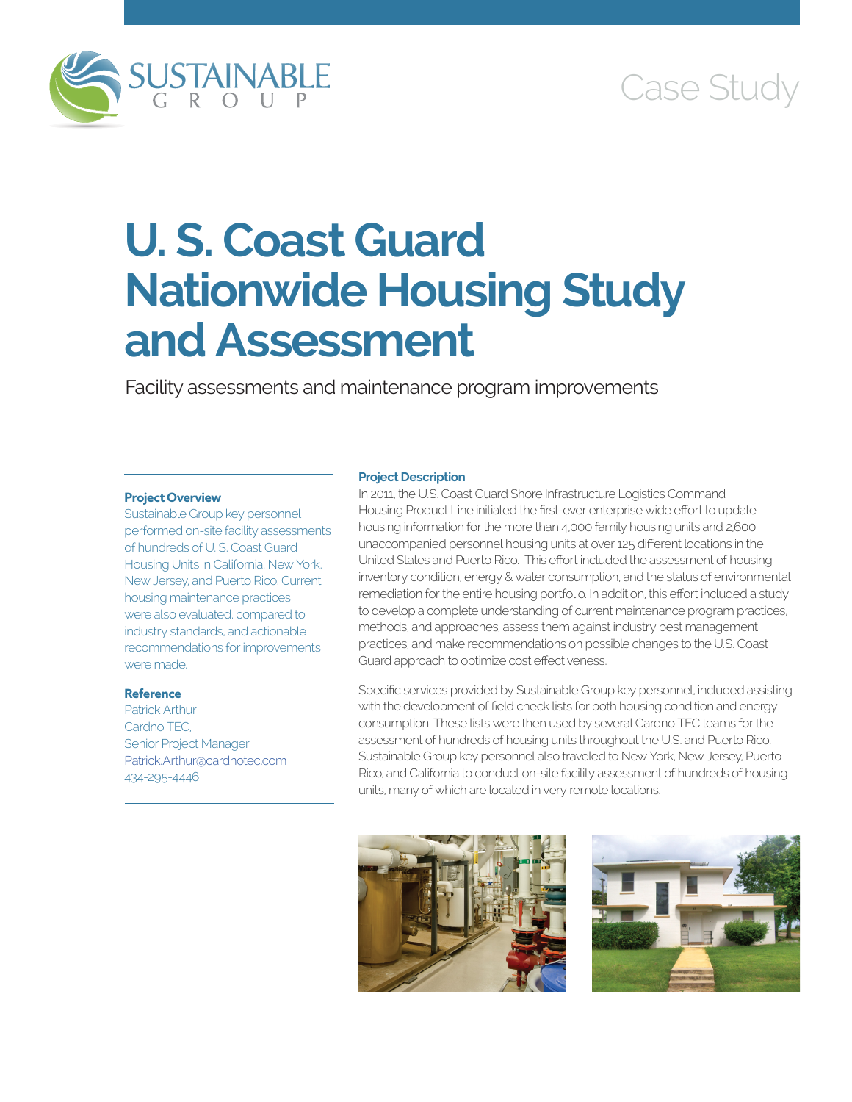



# **U. S. Coast Guard Nationwide Housing Study and Assessment**

Facility assessments and maintenance program improvements

## **Project Overview**

Sustainable Group key personnel performed on-site facility assessments of hundreds of U. S. Coast Guard Housing Units in California, New York, New Jersey, and Puerto Rico. Current housing maintenance practices were also evaluated, compared to industry standards, and actionable recommendations for improvements were made.

## **Reference**

Patrick Arthur Cardno TEC, Senior Project Manager [Patrick.Arthur@cardnotec.com](mailto:Patrick.Arthur@cardnotec.com) 434-295-4446

#### **Project Description**

In 2011, the U.S. Coast Guard Shore Infrastructure Logistics Command Housing Product Line initiated the first-ever enterprise wide effort to update housing information for the more than 4,000 family housing units and 2,600 unaccompanied personnel housing units at over 125 different locations in the United States and Puerto Rico. This effort included the assessment of housing inventory condition, energy & water consumption, and the status of environmental remediation for the entire housing portfolio. In addition, this effort included a study to develop a complete understanding of current maintenance program practices, methods, and approaches; assess them against industry best management practices; and make recommendations on possible changes to the U.S. Coast Guard approach to optimize cost effectiveness.

Specific services provided by Sustainable Group key personnel, included assisting with the development of field check lists for both housing condition and energy consumption. These lists were then used by several Cardno TEC teams for the assessment of hundreds of housing units throughout the U.S. and Puerto Rico. Sustainable Group key personnel also traveled to New York, New Jersey, Puerto Rico, and California to conduct on-site facility assessment of hundreds of housing units, many of which are located in very remote locations.